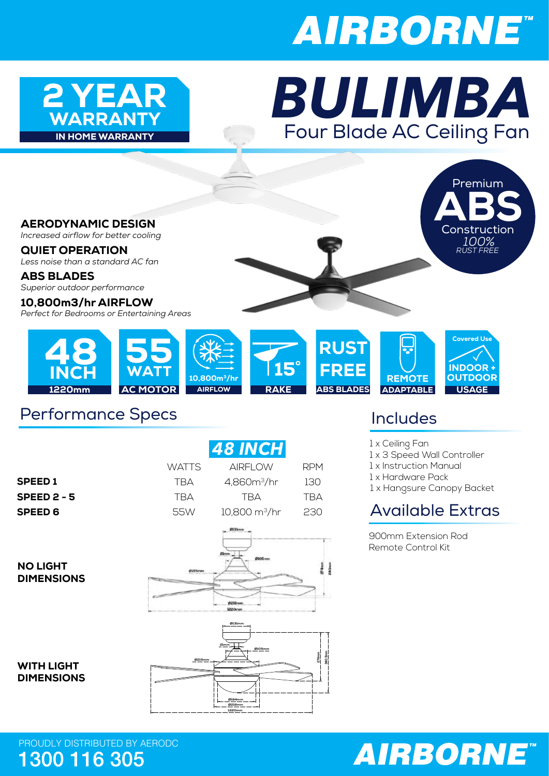# **AIRBORNE**



### Four Blade AC Ceiling Fan WARRANTY *BULIMBA*



#### Performance Specs

|                                        |               | <b>48 INCH</b>                                |                  |
|----------------------------------------|---------------|-----------------------------------------------|------------------|
|                                        | <b>WATTS</b>  | <b>AIRFLOW</b>                                | <b>RPM</b>       |
| <b>SPEED1</b>                          | <b>TBA</b>    | 4,860m <sup>3</sup> /hr                       | 130              |
| <b>SPEED 2 - 5</b>                     | <b>TBA</b>    | <b>TBA</b>                                    | <b>TBA</b>       |
| <b>SPEED 6</b>                         | 55W           | $10,800 \text{ m}^3/\text{hr}$                | 230              |
| <b>NO LIGHT</b><br><b>DIMENSIONS</b>   | <b>DURRAN</b> | @13born<br>Zimm.<br>0215mm<br><b>LEZ Orne</b> |                  |
| <b>WITH LIGHT</b><br><b>DIMENSIONS</b> | Ø215mm        | Ø131mm<br>21mm<br>Ø105mm                      | 340.5mm<br>274mm |

**Ø184mm Ø216mm 1220mm** Includes

1 x Ceiling Fan

1 x 3 Speed Wall Controller

1 x Instruction Manual

1 x Hardware Pack

1 x Hangsure Canopy Backet

### Available Extras

900mm Extension Rod Remote Control Kit



PROUDLY DISTRIBUTED BY AERODC<br>1300 116 305